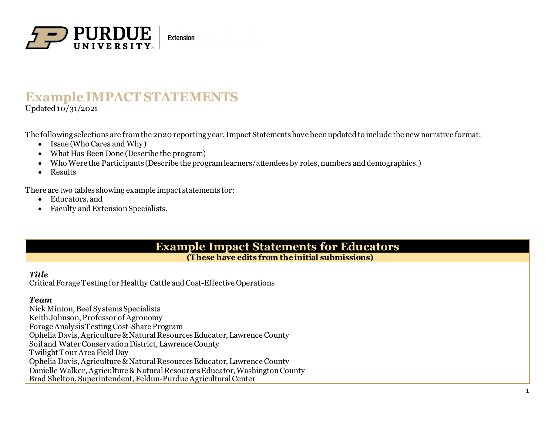

# **Example IMPACT STATEMENTS** Updated  $10/31/2021$

The following selections are from the 2020 reporting year. Impact Statements have been updated to include the new narrative format:

- Issue (Who Cares and Why)
- What Has Been Done (Describe the program)
- Who Were the Participants (Describe the program learners/attendees by roles, numbers and demographics.)
- Results

There are two tables showing example impact statements for:

- Educators, and
- Faculty and Extension Specialists.

**Example Impact Statements for Educators**

**(These have edits from theinitial submissions)**

## *Title*

Critical Forage Testing for Healthy Cattle and Cost-Effective Operations

## *Team*

Nick Minton, Beef Systems Specialists Keith Johnson, Professor of Agronomy Forage Analysis Testing Cost-Share Program Ophelia Davis, Agriculture & Natural Resources Educator, Lawrence County Soil and Water Conservation District, Lawrence County Twilight Tour Area Field Day Ophelia Davis, Agriculture & Natural Resources Educator, Lawrence County Danielle Walker, Agriculture & Natural Resources Educator, Washington County Brad Shelton, Superintendent, Feldun-Purdue Agricultural Center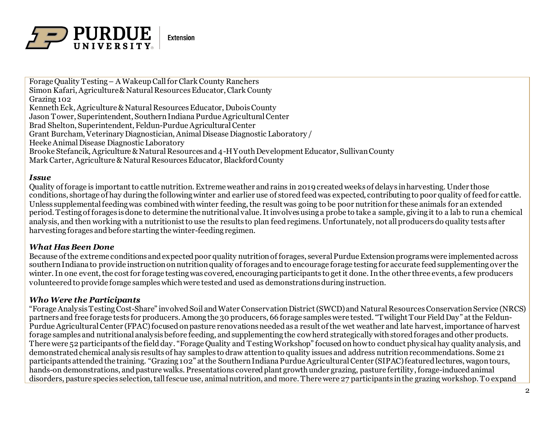

Forage Quality Testing – A Wakeup Call for Clark County Ranchers Simon Kafari, Agriculture & Natural Resources Educator, Clark County Grazing 102 Kenneth Eck, Agriculture & Natural Resources Educator, Dubois County Jason Tower, Superintendent, Southern Indiana Purdue Agricultural Center Brad Shelton, Superintendent, Feldun-Purdue Agricultural Center Grant Burcham, Veterinary Diagnostician, Animal Disease Diagnostic Laboratory / Heeke Animal Disease Diagnostic Laboratory Brooke Stefancik, Agriculture & Natural Resources and 4-H Youth Development Educator, Sullivan County Mark Carter, Agriculture & Natural Resources Educator, Blackford County

#### *Issue*

Quality of forage is important to cattle nutrition. Extreme weather and rains in 2019 created weeks of delays in harvesting. Under those conditions, shortage of hay during the following winter and earlier use of stored feed was expected, contributing to poor quality of feed for cattle. Unless supplemental feeding was combined with winter feeding, the result was going to be poor nutrition for these animals for an extended period. Testing of forages is done to determine the nutritional value. It involves using a probe to take a sample, giving it to a lab to run a chemical analysis, and then working with a nutritionist to use the results to plan feed regimens. Unfortunately, not all producers do quality tests after harvesting forages and before starting the winter-feeding regimen.

### *What Has Been Done*

Because of the extreme conditions and expected poor quality nutrition of forages, several Purdue Extension programs were implemented across southern Indiana to provide instruction on nutrition quality of forages and to encourage forage testing for accurate feed supplementing over the winter. In one event, the cost for forage testing was covered, encouraging participants to get it done. In the other three events, a few producers volunteered to provide forage samples which were tested and used as demonstrations during instruction.

### *Who Were the Participants*

"Forage Analysis Testing Cost-Share" involved Soil and Water Conservation District (SWCD) and Natural Resources Conservation Service (NRCS) partners and free forage tests for producers. Among the 30 producers, 66 forage samples were tested. "Twilight Tour Field Day" at the Feldun-Purdue Agricultural Center (FPAC) focused on pasture renovations needed as a result of the wet weather and late harvest, importance of harvest forage samples and nutritional analysis before feeding, and supplementing the cow herd strategically with stored forages and other products. There were 52 participants of the field day. "Forage Quality and Testing Workshop" focused on how to conduct physical hay quality analysis, and demonstrated chemical analysis results of hay samples to draw attention to quality issues and address nutrition recommendations. Some 21 participants attended the training. "Grazing 102" at the Southern Indiana Purdue Agricultural Center (SIPAC) featured lectures, wagon tours, hands-on demonstrations, and pasture walks. Presentations covered plant growth under grazing, pasture fertility, forage-inducedanimal disorders, pasture species selection, tall fescue use, animal nutrition, and more. There were 27 participants in the grazing workshop. To expand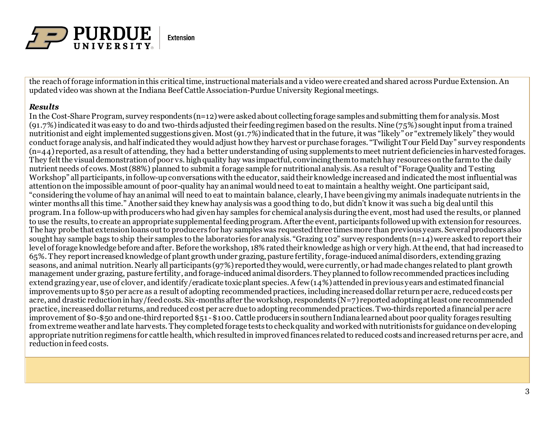

the reach of forage information in this critical time, instructional materials and a video were createdand shared across Purdue Extension. An updated video was shown at the Indiana Beef Cattle Association-Purdue University Regional meetings.

### *Results*

In the Cost-Share Program, survey respondents (n=12) were asked about collecting forage samples and submitting them for analysis. Most (91.7%) indicated it was easy to do and two-thirds adjusted their feeding regimen based on the results. Nine (75%) sought input from a trained nutritionist and eight implemented suggestions given. Most (91.7%) indicated that in the future, it was "likely" or "extremely likely" they would conduct forage analysis, and half indicated they would adjust how they harvest or purchase forages. "Twilight Tour Field Day" survey respondents  $(n=44)$  reported, as a result of attending, they had a better understanding of using supplements to meet nutrient deficiencies in harvested forages. They felt the visual demonstration of poor vs. high quality hay was impactful, convincing them to match hay resources on the farm to the daily nutrient needs of cows. Most (88%) planned to submit a forage sample for nutritional analysis. As a result of "Forage Quality and Testing Workshop" all participants, in follow-up conversations with the educator, said their knowledge increased and indicated the most influential was attention on the impossible amount of poor-quality hay an animal would need to eat to maintain a healthy weight. One participant said, "considering the volume of hay an animal will need to eat to maintain balance, clearly, I have been giving my animals inadequate nutrients in the winter months all this time." Another said they knew hay analysis was a good thing to do, but didn't know it was such a big deal until this program. In a follow-up with producers who had given hay samples for chemical analysis during the event, most had used the results, or planned to use the results, to create an appropriate supplemental feeding program. After the event, participants followed up with extension for resources. The hay probe that extension loans out to producers for hay samples was requested three times more than previous years. Several producers also sought hay sample bags to ship their samples to the laboratories for analysis. "Grazing 102" survey respondents (n=14) were asked to report their level of forage knowledge before and after. Before the workshop, 18% rated their knowledge as high or very high. At the end, that had increased to 65%. They report increased knowledge of plant growth under grazing, pasture fertility, forage-induced animal disorders, extending grazing seasons, and animal nutrition. Nearly all participants (97%) reported they would, were currently, or had made changes relatedto plant growth management under grazing, pasture fertility, and forage-induced animal disorders. They planned to follow recommended practices including extend grazing year, use of clover, and identify/eradicate toxic plant species. A few (14%) attended in previous years and estimated financial improvements up to \$50 per acre as a result of adopting recommended practices, including increased dollar return per acre, reduced costs per acre, and drastic reduction in hay/feed costs. Six-months after the workshop, respondents (N=7) reported adopting at least one recommended practice, increased dollar returns, and reduced cost per acre due to adopting recommended practices. Two-thirds reported a financial per acre improvement of \$0-\$50 and one-third reported \$51 -\$100. Cattle producers in southern Indiana learned about poor quality forages resulting from extreme weather andlate harvests. They completed forage tests to check quality and worked with nutritionists for guidance on developing appropriate nutrition regimens for cattle health, which resulted in improved finances related to reduced costs and increased returns per acre, and reduction in feed costs.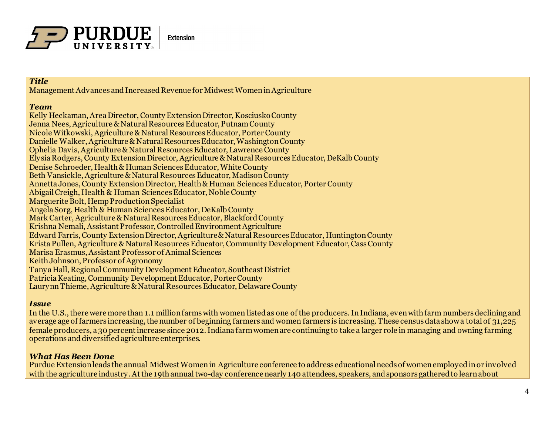

## *Title*

Management Advances and Increased Revenue for Midwest Women in Agriculture

#### *Team*

Kelly Heckaman, Area Director, County Extension Director, Kosciusko County Jenna Nees, Agriculture & Natural Resources Educator, Putnam County Nicole Witkowski, Agriculture & Natural Resources Educator, Porter County Danielle Walker, Agriculture & Natural Resources Educator, Washington County Ophelia Davis, Agriculture & Natural Resources Educator, Lawrence County Elysia Rodgers, County Extension Director, Agriculture & Natural Resources Educator, DeKalb County Denise Schroeder, Health & Human Sciences Educator, White County Beth Vansickle, Agriculture & Natural Resources Educator, Madison County Annetta Jones, County Extension Director, Health & Human Sciences Educator, Porter County Abigail Creigh, Health & Human Sciences Educator, Noble County Marguerite Bolt, Hemp Production Specialist Angela Sorg, Health & Human Sciences Educator, DeKalb County Mark Carter, Agriculture & Natural Resources Educator, Blackford County Krishna Nemali, Assistant Professor, Controlled Environment Agriculture Edward Farris, County Extension Director, Agriculture & Natural Resources Educator, Huntington County Krista Pullen, Agriculture & Natural Resources Educator, Community Development Educator, Cass County Marisa Erasmus, Assistant Professor of Animal Sciences Keith Johnson, Professor of Agronomy Tanya Hall, Regional Community Development Educator, Southeast District Patricia Keating, Community Development Educator, Porter County Laurynn Thieme, Agriculture & Natural Resources Educator, Delaware County

## *Issue*

In the U.S., there were more than 1.1 million farms with women listed as one of the producers. In Indiana, even with farm numbers declining and average age of farmers increasing, the number of beginning farmers and women farmers is increasing. These census data show a total of 31,225 female producers, a 30 percent increase since 2012. Indiana farm women are continuing to take a larger role in managing and owning farming operations and diversified agriculture enterprises.

## *What Has Been Done*

Purdue Extension leads the annual Midwest Women in Agriculture conference to address educational needs of women employed in or involved with the agriculture industry. At the 19th annual two-day conference nearly 140 attendees, speakers, and sponsors gathered to learn about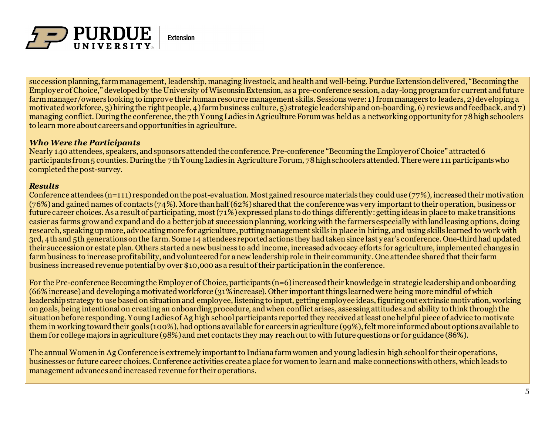

succession planning, farm management, leadership, managing livestock, and health and well-being. Purdue Extension delivered, "Becoming the Employer of Choice," developed by the University of Wisconsin Extension, as a pre-conference session, a day-long program for current and future farm manager/owners looking to improve their human resource management skills. Sessions were: 1) from managers to leaders, 2) developing a motivated workforce, 3) hiring the right people, 4) farm business culture, 5) strategic leadership and on-boarding, 6) reviews and feedback, and 7) managing conflict. During the conference, the 7th Young Ladies in Agriculture Forum was held as a networking opportunity for 78 high schoolers to learn more about careers and opportunities in agriculture.

### *Who Were the Participants*

Nearly 140 attendees, speakers, and sponsors attended the conference. Pre-conference "Becoming the Employer of Choice" attracted 6 participants from 5 counties. During the 7th Young Ladies in Agriculture Forum, 78 high schoolers attended. There were 111 participants who completed the post-survey.

### *Results*

Conference attendees (n=111) responded on the post-evaluation. Most gained resource materials they could use (77%), increased their motivation (76%) and gained names of contacts (74%). More than half (62%) shared that the conference was very important to their operation, business or future career choices. As a result of participating, most (71%) expressed plans to do things differently: getting ideas in place to make transitions easier as farms grow and expand and do a better job at succession planning, working with the farmers especially with land leasing options, doing research, speaking up more, advocating more for agriculture, putting management skills in place in hiring, and using skills learned to work with 3rd, 4th and 5th generations on the farm. Some 14 attendees reported actions they had taken since last year's conference. One-third had updated their succession or estate plan. Others started a new business to add income, increased advocacy efforts for agriculture, implemented changes in farm business to increase profitability, and volunteered for a new leadership role in their community. One attendee shared that their farm business increased revenue potential by over \$10,000 as a result of their participation in the conference.

For the Pre-conference Becoming the Employer of Choice, participants (n=6) increased their knowledge in strategic leadership and onboarding (66% increase) and developing a motivated workforce (31% increase). Other important things learned were being more mindful of which leadership strategy to use based on situation and employee, listening to input, getting employee ideas, figuring out extrinsic motivation, working on goals, being intentional on creating an onboarding procedure, and when conflict arises, assessing attitudes and ability to think through the situation before responding. Young Ladies of Ag high school participants reported they received at least one helpful piece of advice to motivate them in working toward their goals (100%), had options available for careers in agriculture (99%), felt more informed about options available to them for college majors in agriculture (98%) and met contacts they may reach out to with future questions or for guidance (86%).

The annual Women in Ag Conference is extremely important to Indiana farm women and young ladies in high schoolfor their operations, businesses or future career choices. Conference activities create a place for women to learn and make connections with others, which leads to management advances and increased revenue for their operations.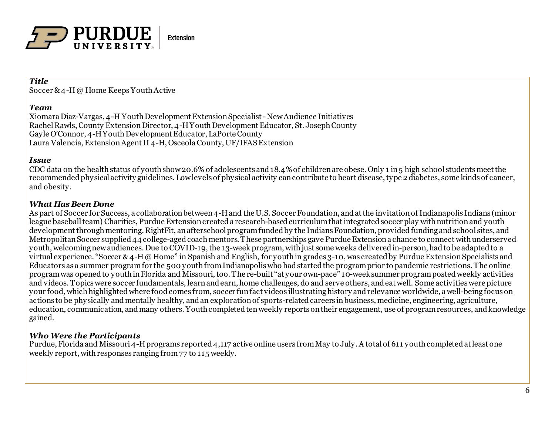

### *Title*

Soccer & 4-H @ Home Keeps Youth Active

### *Team*

Xiomara Diaz-Vargas, 4-H Youth Development Extension Specialist -New Audience Initiatives Rachel Rawls, County Extension Director, 4-H Youth Development Educator, St. Joseph County Gayle O'Connor, 4-H Youth Development Educator, LaPorte County Laura Valencia, Extension Agent II 4-H, Osceola County, UF/IFAS Extension

## *Issue*

CDC data on the health status of youth show 20.6% of adolescents and 18.4% of children are obese. Only 1 in 5 high school students meet the recommended physical activity guidelines. Low levels of physical activity can contribute to heart disease, type 2 diabetes, some kinds of cancer, and obesity.

## *What Has Been Done*

As part of Soccer for Success, a collaboration between 4-H and the U.S. Soccer Foundation, and at the invitation of Indianapolis Indians (minor league baseball team) Charities, Purdue Extension created a research-based curriculum that integrated soccer play with nutrition and youth development through mentoring. RightFit, an afterschool program funded by the Indians Foundation, provided funding and school sites, and Metropolitan Soccer supplied 44 college-aged coach mentors. These partnerships gave Purdue Extension a chance to connect with underserved youth, welcoming new audiences. Due to COVID-19, the 13-week program, with just some weeks delivered in-person, had to be adapted to a virtual experience. "Soccer & 4-H @ Home" in Spanish and English, for youth in grades 3-10, was created by Purdue Extension Specialists and Educators as a summer program for the 500 youth from Indianapolis who had started the program prior to pandemic restrictions. The online program was opened to youth in Florida and Missouri, too. The re-built "at your own-pace" 10-week summer program posted weekly activities and videos. Topics were soccer fundamentals, learn and earn, home challenges, do and serve others, and eat well. Some activities were picture your food*,* which highlighted where food comes from, soccer fun fact videos illustrating history and relevance worldwide, a well-being focus on actions to be physically and mentally healthy, and an exploration of sports-related careers in business, medicine, engineering, agriculture, education, communication, and many others. Youth completed ten weekly reports on their engagement, use of program resources, and knowledge gained.

## *Who Were the Participants*

Purdue, Florida and Missouri 4-H programs reported 4,117 active online users from May to July. A total of 611 youth completed at least one weekly report, with responses ranging from 77 to 115 weekly.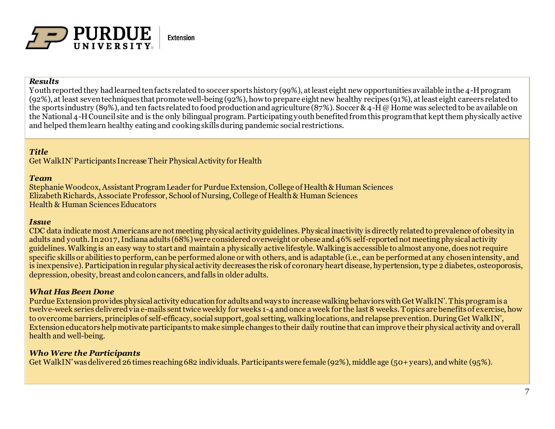

#### *Results*

Youth reported they had learned ten facts related to soccer sports history (99%), at least eight new opportunities available in the 4-H program (92%), at least seven techniques that promote well-being (92%), how to prepare eight new healthy recipes (91%), at least eight careers related to the sports industry (89%), and ten facts related to food production and agriculture (87%). Soccer & 4-H @ Home was selected to be available on the National 4-H Council site and is the only bilingual program. Participating youth benefited from this program that kept them physically active and helped them learn healthy eating and cooking skills during pandemic social restrictions.

## *Title*

Get WalkIN' Participants Increase Their Physical Activity for Health

#### *Team*

Stephanie Woodcox, Assistant Program Leader for Purdue Extension, College of Health & Human Sciences Elizabeth Richards, Associate Professor, School of Nursing, College of Health & Human Sciences Health & Human Sciences Educators

#### *Issue*

CDC data indicate most Americans are not meeting physical activity guidelines. Physical inactivity is directly related to prevalence of obesity in adults and youth. In 2017, Indiana adults (68%) were considered overweight or obese and 46% self-reported not meeting physical activity guidelines. Walking is an easy way to start and maintain a physically active lifestyle. Walking is accessible to almost anyone, does not require specific skills or abilities to perform, can be performed alone or with others, and is adaptable (i.e., can be performed at any chosen intensity, and is inexpensive). Participation in regular physical activity decreases the risk of coronary heart disease, hypertension, type 2 diabetes, osteoporosis, depression, obesity, breast and colon cancers, and falls in older adults.

### *What Has Been Done*

Purdue Extension provides physical activity education for adults and ways to increase walking behaviors with Get WalkIN'. This program is a twelve-week series delivered via e-mails sent twice weekly for weeks 1-4 and once a week for the last 8 weeks. Topics are benefits of exercise, how to overcome barriers, principles of self-efficacy, social support, goal setting, walking locations, and relapse prevention. During Get WalkIN', Extension educators help motivate participants to make simple changes to their daily routine that can improve their physical activity and overall health and well-being.

## *Who Were the Participants*

Get WalkIN' was delivered 26 times reaching 682 individuals. Participants were female (92%), middle age (50+ years), and white (95%).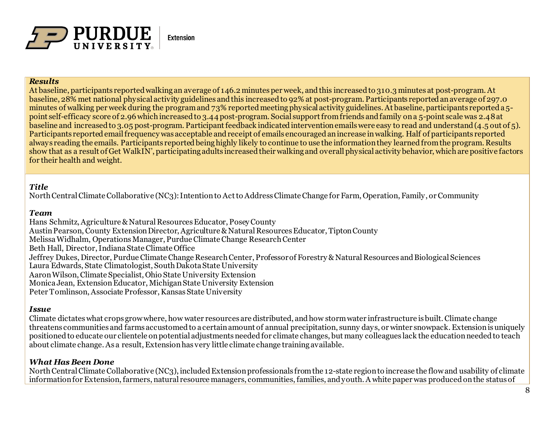

#### *Results*

At baseline, participants reported walking an average of 146.2 minutes per week, and this increased to 310.3 minutes at post-program. At baseline, 28% met national physical activity guidelines and this increased to 92% at post-program. Participants reported an average of 297.0 minutes of walking per week during the program and 73% reported meeting physical activity guidelines. At baseline, participants reported a 5 point self-efficacy score of 2.96 which increased to 3.44 post-program. Social support from friends and family on a 5-point scale was 2.48 at baseline and increased to 3.05 post-program. Participant feedback indicated intervention emails were easy to read and understand (4.5 out of 5). Participants reported email frequency was acceptable and receipt of emails encouraged an increase in walking. Half of participants reported always reading the emails. Participants reported being highly likely to continue to use the information they learned from the program. Results show that as a result of Get WalkIN', participating adults increased their walking and overall physical activity behavior, which are positive factors for their health and weight.

## *Title*

North Central Climate Collaborative (NC3): Intention to Act to Address Climate Change for Farm, Operation, Family, or Community

### *Team*

Hans Schmitz, Agriculture & Natural Resources Educator, Posey County Austin Pearson, County Extension Director, Agriculture & Natural Resources Educator, Tipton County Melissa Widhalm, Operations Manager, Purdue Climate Change Research Center Beth Hall, Director, Indiana State Climate Office Jeffrey Dukes, Director, Purdue Climate Change Research Center, Professor of Forestry & Natural Resources and Biological Sciences Laura Edwards, State Climatologist, South Dakota State University Aaron Wilson, Climate Specialist, Ohio State University Extension Monica Jean, Extension Educator, Michigan State University Extension Peter Tomlinson, Associate Professor, Kansas State University

### *Issue*

Climate dictates what crops grow where, how water resources are distributed, and how storm water infrastructure is built. Climate change threatens communities and farms accustomed to a certain amount of annual precipitation, sunny days, or winter snowpack. Extension is uniquely positioned to educate our clientele on potential adjustments needed for climate changes, but many colleagues lack the education needed to teach about climate change. As a result, Extension has very little climate change training available.

## *What Has Been Done*

North Central Climate Collaborative (NC3), included Extension professionals from the 12-state region to increase the flow and usability of climate information for Extension, farmers, natural resource managers, communities, families, and youth. A white paper was produced on the status of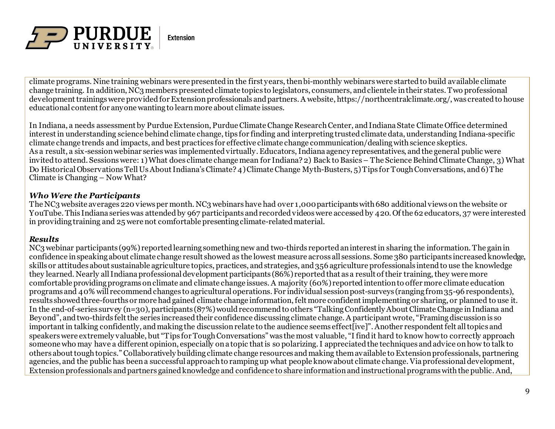

climate programs. Nine training webinars were presented in the first years, then bi-monthly webinars were started to build available climate change training. In addition, NC3 members presented climate topics to legislators, consumers, and clientele in their states. Two professional development trainings were provided for Extension professionals and partners. A website, https://northcentralclimate.org/, was created to house educational content for anyone wanting to learn more about climate issues.

In Indiana, a needs assessment by Purdue Extension, Purdue Climate Change Research Center, and Indiana State Climate Office determined interest in understanding science behind climate change, tips for finding and interpreting trusted climate data, understanding Indiana-specific climate change trends and impacts, and best practices for effective climate change communication/dealing with science skeptics. As a result, a six-session webinar series was implemented virtually. Educators, Indiana agency representatives, and the general public were invited to attend. Sessions were: 1) What does climate change mean for Indiana? 2) Back to Basics – The Science Behind Climate Change, 3) What Do Historical Observations Tell Us About Indiana's Climate? 4) Climate Change Myth-Busters, 5) Tips for Tough Conversations, and 6) The Climate is Changing – Now What?

## *Who Were the Participants*

The NC3 website averages 220 views per month. NC3 webinars have had over 1,000 participants with 680 additional views on the website or YouTube. This Indiana series was attended by 967 participants and recorded videos were accessed by 420. Of the 62 educators, 37 were interested in providing training and 25 were not comfortable presenting climate-related material.

### *Results*

NC3 webinar participants (99%) reported learning something new and two-thirds reported an interest in sharing the information. The gain in confidence in speaking about climate change result showed as the lowest measure across all sessions. Some 380 participants increased knowledge, skills or attitudes about sustainable agriculture topics, practices, and strategies, and 356 agriculture professionals intend to use the knowledge they learned. Nearly all Indiana professional development participants (86%) reported that as a result of their training, they were more comfortable providing programs on climate and climate change issues. A majority (60%) reported intention to offer more climate education programs and 40% will recommend changes to agricultural operations. For individual session post-surveys (ranging from 35-96 respondents), results showed three-fourths or more had gained climate change information, felt more confident implementing or sharing, or planned to use it. In the end-of-series survey (n=30), participants (87%) would recommend to others "Talking Confidently About Climate Change in Indiana and Beyond", and two-thirds felt the series increased their confidence discussing climate change. A participant wrote, "Framing discussion is so important in talking confidently, and making the discussion relate to the audience seems effect[ive]". Another respondent felt all topics and speakers were extremely valuable, but "Tips for Tough Conversations" was the most valuable, "I find it hard to know how to correctly approach someone who may have a different opinion, especially on a topic that is so polarizing. I appreciated the techniques and advice on how to talk to others about tough topics." Collaboratively building climate change resources and making them available to Extension professionals, partnering agencies, and the public has been a successful approach to ramping up what people know about climate change. Via professional development, Extension professionals and partners gained knowledge and confidence to share information and instructional programs with the public. And,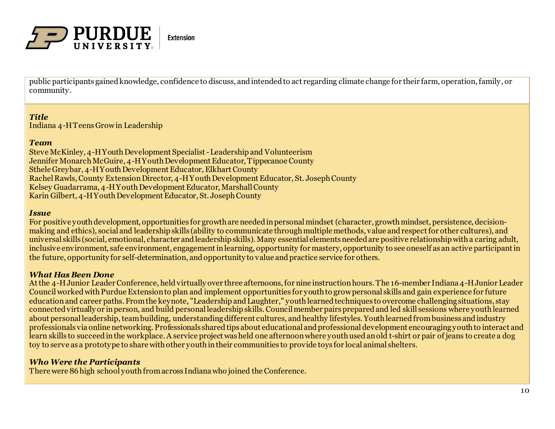

public participants gained knowledge, confidence to discuss, and intended to act regarding climate change for their farm, operation, family, or community.

### *Title*

Indiana 4-H Teens Grow in Leadership

#### *Team*

Steve McKinley, 4-H Youth Development Specialist -Leadership and Volunteerism Jennifer Monarch McGuire, 4-H Youth Development Educator, Tippecanoe County Sthele Greybar, 4-H Youth Development Educator, Elkhart County Rachel Rawls, County Extension Director, 4-H Youth Development Educator, St. Joseph County Kelsey Guadarrama, 4-H Youth Development Educator, Marshall County Karin Gilbert, 4-H Youth Development Educator, St. Joseph County

#### *Issue*

For positive youth development, opportunities for growth are needed in personal mindset (character, growth mindset, persistence, decisionmaking and ethics), social and leadership skills (ability to communicate through multiple methods, value and respect for other cultures), and universal skills (social, emotional, character and leadership skills). Many essential elements needed are positive relationship with a caring adult, inclusive environment, safe environment, engagement in learning, opportunity for mastery, opportunity to see oneself as an active participant in the future, opportunity for self-determination, and opportunity to value and practice service for others.

### *What Has Been Done*

At the 4-H Junior Leader Conference, held virtually over three afternoons, for nine instruction hours. The 16-member Indiana 4-H Junior Leader Council worked with Purdue Extension to plan and implement opportunities for youth to grow personal skills and gain experience for future education and career paths. From the keynote, "Leadership and Laughter," youth learned techniques to overcome challenging situations, stay connected virtually or in person, and build personal leadership skills. Council member pairs prepared and led skill sessions where youth learned about personal leadership, team building, understanding different cultures, and healthy lifestyles. Youth learned from business and industry professionals via online networking. Professionals shared tips about educational and professional development encouraging youth to interact and learn skills to succeed in the workplace. A service project was held one afternoon where youth used an old t-shirt or pair of jeans to create a dog toy to serve as a prototype to share with other youth in their communities to provide toys for local animal shelters.

## *Who Were the Participants*

There were 86 high school youth from across Indiana who joined the Conference.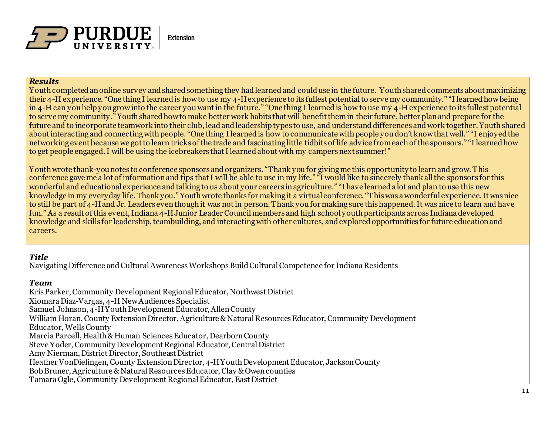

#### *Results*

Youth completed an online survey and shared something they had learned and could use in the future. Youth shared comments about maximizing their 4-H experience. "One thing I learned is how to use my 4-H experience to its fullest potential to serve my community." "I learned how being in 4-H can you help you grow into the career you want in the future." "One thing I learned is how to use my 4-H experience to its fullest potential to serve my community." Youth shared how to make better work habits that will benefit them in their future, better plan and prepare for the future and to incorporate teamwork into their club, lead and leadership types to use, and understand differences and work together. Youth shared about interacting and connecting with people. "One thing I learned is how to communicate with people you don't know that well." "I enjoyed the networking event because we got to learn tricks of the trade and fascinating little tidbits of life advice from each of the sponsors." "I learned how to get people engaged. I will be using the icebreakers that I learned about with my campers next summer!"

Youth wrote thank-you notes to conference sponsors and organizers. "Thank you for giving me this opportunity to learn and grow. This conference gave me a lot of information and tips that I will be able to use in my life." "I would like to sincerely thank all the sponsors for this wonderful and educational experience and talking to us about your careers in agriculture." "I have learned a lot and plan to use this new knowledge in my everyday life. Thank you." Youth wrote thanks for making it a virtual conference. "This was a wonderful experience. It was nice to still be part of 4-H and Jr. Leaders even though it was not in person. Thank you for making sure this happened. It was nice to learn and have fun." As a result of this event, Indiana 4-H Junior Leader Council members and high school youth participants across Indiana developed knowledge and skills for leadership, teambuilding, and interacting with other cultures, and explored opportunities for future education and careers.

## *Title*

Navigating Difference and Cultural Awareness Workshops Build Cultural Competence for Indiana Residents

## *Team*

Kris Parker, Community Development Regional Educator, Northwest District Xiomara Diaz-Vargas, 4-H New Audiences Specialist Samuel Johnson, 4-H Youth Development Educator, Allen County William Horan, County Extension Director, Agriculture & Natural Resources Educator, Community Development Educator, Wells County Marcia Parcell, Health & Human Sciences Educator, Dearborn County Steve Yoder, Community Development Regional Educator, Central District Amy Nierman, District Director, Southeast District Heather VonDielingen, County Extension Director, 4-H Youth Development Educator, Jackson County Bob Bruner, Agriculture & Natural Resources Educator, Clay & Owen counties Tamara Ogle, Community Development Regional Educator, East District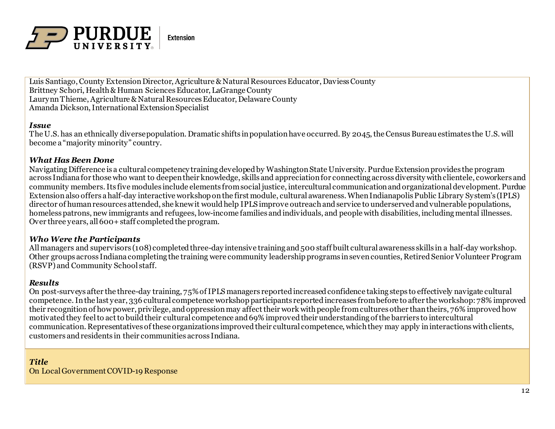

Luis Santiago, County Extension Director, Agriculture & Natural Resources Educator, Daviess County Brittney Schori, Health & Human Sciences Educator, LaGrange County Laurynn Thieme, Agriculture & Natural Resources Educator, Delaware County Amanda Dickson, International Extension Specialist

#### *Issue*

The U.S. has an ethnically diverse population. Dramatic shifts in population have occurred. By 2045, the Census Bureau estimates the U.S. will become a "majority minority" country.

### *What Has Been Done*

Navigating Difference is a cultural competency training developed by Washington State University. Purdue Extension provides the program across Indiana for those who want to deepen their knowledge, skills and appreciation for connecting across diversity with clientele, coworkers and community members. Its five modules include elements from social justice, intercultural communication and organizational development. Purdue Extension also offers a half-day interactive workshop on the first module, cultural awareness. When Indianapolis Public Library System's (IPLS) director of human resources attended, she knew it would help IPLS improve outreach and service to underserved and vulnerable populations, homeless patrons, new immigrants and refugees, low-income families and individuals, and people with disabilities, including mental illnesses. Over three years, all 600+ staff completed the program.

### *Who Were the Participants*

All managers and supervisors (108) completed three-day intensive training and 500 staff built cultural awareness skills in a half-day workshop. Other groups across Indiana completing the training were community leadership programs in seven counties, Retired Senior Volunteer Program (RSVP) and Community School staff.

### *Results*

On post-surveys after the three-day training, 75% of IPLS managers reported increased confidence taking steps to effectively navigate cultural competence. In the last year, 336 cultural competence workshop participants reported increases from before to after the workshop: 78% improved their recognition of how power, privilege, and oppression may affect their work with people from cultures other than theirs, 76% improved how motivated they feelto act to build their cultural competence and 69% improved their understanding of the barriers to intercultural communication. Representatives of these organizations improved their cultural competence, which they may apply in interactions with clients, customers and residents in their communities across Indiana.

*Title* On Local Government COVID-19 Response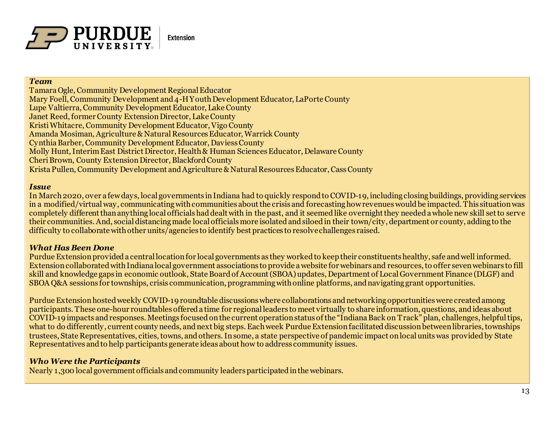

### *Team*

Tamara Ogle, Community Development Regional Educator Mary Foell, Community Development and 4-H Youth Development Educator, LaPorte County Lupe Valtierra, Community Development Educator, Lake County Janet Reed, former County Extension Director, Lake County Kristi Whitacre, Community Development Educator, Vigo County Amanda Mosiman, Agriculture & Natural Resources Educator, Warrick County Cynthia Barber, Community Development Educator, Daviess County Molly Hunt, Interim East District Director, Health & Human Sciences Educator, Delaware County Cheri Brown, County Extension Director, Blackford County Krista Pullen, Community Development and Agriculture & Natural Resources Educator, Cass County

#### *Issue*

In March 2020, over a few days, local governments in Indiana had to quickly respond to COVID-19, including closing buildings, providing services in a modified/virtual way, communicating with communities about the crisis and forecasting how revenues would be impacted. This situation was completely different than anything local officials had dealt with in the past, and it seemed like overnight they needed a whole new skill set to serve their communities. And, social distancing made local officials more isolated and siloed in their town/city, department or county, adding to the difficulty to collaborate with other units/agencies to identify best practices to resolve challenges raised.

## *What Has Been Done*

PurdueExtension provided a central location for local governments as they worked to keep their constituents healthy, safe and well informed. Extension collaborated with Indiana local government associations to provide a website for webinars and resources, to offer seven webinars to fill skill and knowledge gaps in economic outlook, State Board of Account (SBOA) updates, Department of Local Government Finance (DLGF) and SBOA Q&A sessions for townships, crisis communication, programming with online platforms, and navigating grant opportunities.

Purdue Extension hosted weekly COVID-19 roundtable discussions where collaborations and networking opportunities were created among participants. These one-hour roundtables offered a time for regional leaders to meet virtually to share information, questions, and ideas about COVID-19 impacts and responses. Meetings focused on the current operation status of the "Indiana Back on Track" plan, challenges, helpful tips, what to do differently, current county needs, and next big steps. Each week Purdue Extension facilitated discussion between libraries, townships trustees, State Representatives, cities, towns, and others. In some, a state perspective of pandemic impact on local units was provided by State Representatives and to help participants generate ideas about how to address community issues.

### *Who Were the Participants*

Nearly 1,300 local government officials and community leaders participatedin the webinars.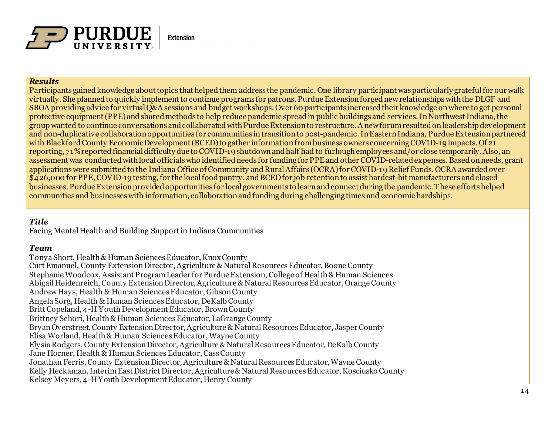

#### *Results*

Participants gained knowledge about topics that helped them address the pandemic. One library participant was particularly grateful for our walk virtually. She planned to quickly implement to continue programs for patrons. Purdue Extension forged new relationships with the DLGF and SBOA providing advice for virtual Q&A sessions and budget workshops. Over 60 participants increased their knowledge on where to get personal protective equipment (PPE) and shared methods to help reduce pandemic spread in public buildings and services. In Northwest Indiana, the group wanted to continue conversations and collaborated with Purdue Extension to restructure. A new forum resulted on leadership development and non-duplicative collaboration opportunities for communities intransition to post-pandemic. In Eastern Indiana, Purdue Extension partnered with Blackford County Economic Development (BCED) to gather information from business owners concerning COVID-19 impacts. Of 21 reporting, 71% reported financial difficulty due to COVID-19 shutdown and half had to furlough employees and/or close temporarily. Also, an assessment was conducted with local officials who identified needs for funding for PPE and other COVID-related expenses. Based on needs, grant applications were submitted to the Indiana Office of Community and Rural Affairs (OCRA) for COVID-19 Relief Funds. OCRA awarded over \$426,000 for PPE, COVID-19 testing, for the local food pantry, and BCED for job retention to assist hardest-hit manufacturers and closed businesses. Purdue Extension provided opportunities for local governments to learn and connect during the pandemic. These efforts helped communities and businesses with information, collaboration and funding during challenging times and economic hardships.

## *Title*

Facing Mental Health and Building Support in Indiana Communities

### *Team*

Tonya Short, Health & Human Sciences Educator, Knox County Curt Emanuel, County Extension Director, Agriculture & Natural Resources Educator, Boone County Stephanie Woodcox, Assistant Program Leader for Purdue Extension, College of Health & Human Sciences Abigail Heidenreich, County Extension Director, Agriculture & Natural Resources Educator, Orange County Andrew Hays, Health & Human Sciences Educator, Gibson County Angela Sorg, Health & Human Sciences Educator, DeKalb County Britt Copeland, 4-H Youth Development Educator, Brown County Brittney Schori, Health & Human Sciences Educator, LaGrange County Bryan Overstreet, County Extension Director, Agriculture & Natural Resources Educator, Jasper County Elisa Worland, Health & Human Sciences Educator, Wayne County Elysia Rodgers, County Extension Director, Agriculture & Natural Resources Educator, DeKalb County Jane Horner, Health & Human Sciences Educator, Cass County Jonathan Ferris, County Extension Director, Agriculture & Natural Resources Educator, Wayne County Kelly Heckaman, Interim East District Director, Agriculture & Natural Resources Educator, Kosciusko County Kelsey Meyers, 4-H Youth Development Educator, Henry County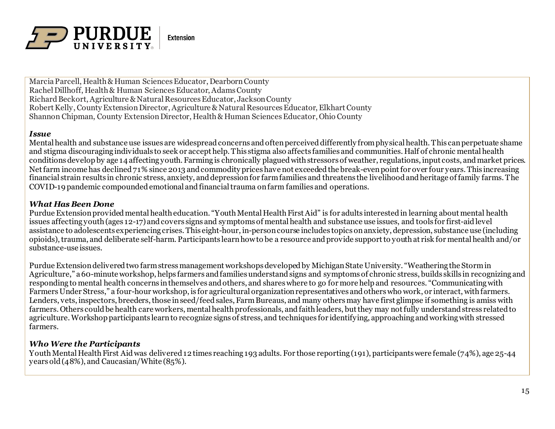

Marcia Parcell, Health & Human Sciences Educator, Dearborn County Rachel Dillhoff, Health & Human Sciences Educator, Adams County Richard Beckort, Agriculture & Natural Resources Educator, Jackson County Robert Kelly, County Extension Director, Agriculture & Natural Resources Educator, Elkhart County Shannon Chipman, County Extension Director, Health & Human Sciences Educator, Ohio County

#### *Issue*

Mental health and substance use issues are widespread concerns and often perceived differently from physical health. This can perpetuate shame and stigma discouraging individuals to seek or accept help. This stigma also affects families and communities. Half of chronic mental health conditions develop by age 14 affecting youth. Farming is chronically plagued with stressors of weather, regulations, input costs, and market prices. Net farm income has declined 71% since 2013 and commodity prices have not exceeded the break-even point for over four years. This increasing financial strain results in chronic stress, anxiety, and depression for farm families and threatens the livelihood and heritage of family farms. The COVID-19 pandemic compounded emotional and financial trauma on farm families and operations.

#### *What Has Been Done*

Purdue Extension provided mental health education. "Youth Mental Health First Aid" is for adults interested in learning about mental health issues affecting youth (ages 12-17) and covers signs and symptoms of mental health and substance use issues, and tools for first-aid level assistance to adolescents experiencing crises. This eight-hour, in-person course includes topics on anxiety, depression, substance use (including opioids), trauma, and deliberate self-harm. Participants learn how to be a resource and provide support to youth at risk for mental health and/or substance-use issues.

Purdue Extension delivered two farm stress management workshops developed by Michigan State University. "Weathering the Stormin Agriculture," a 60-minute workshop, helps farmers and families understand signs and symptoms of chronic stress, builds skills in recognizing and responding to mental health concerns in themselves and others, and shares where to go for more help and resources. "Communicating with Farmers Under Stress," a four-hour workshop, is for agricultural organization representatives and others who work, or interact, with farmers. Lenders, vets, inspectors, breeders, those in seed/feed sales, Farm Bureaus, and many others may have first glimpse if something is amiss with farmers. Others could be health care workers, mental health professionals, and faith leaders, but they may not fully understand stress related to agriculture. Workshop participants learn to recognize signs of stress, and techniques for identifying, approaching and working with stressed farmers.

### *Who Were the Participants*

Youth Mental Health First Aid was delivered 12 times reaching 193 adults. For those reporting (191), participants were female (74%), age 25-44 years old (48%), and Caucasian/White (85%).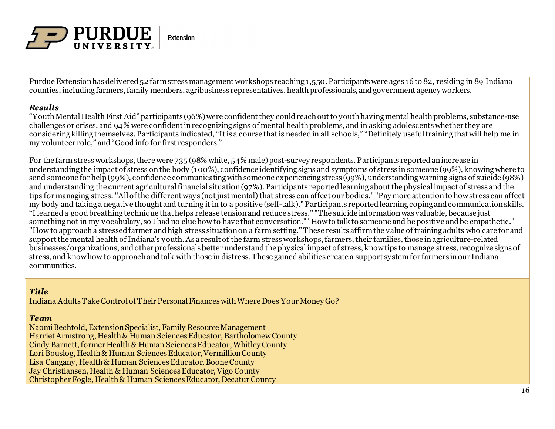

Purdue Extension has delivered 52 farm stress management workshops reaching 1,550. Participants were ages 16 to 82, residing in 89 Indiana counties, including farmers, family members, agribusiness representatives, health professionals, and government agency workers.

### *Results*

"Youth Mental Health First Aid" participants (96%) were confident they could reach out to youth having mental health problems, substance-use challenges or crises, and 94% were confident in recognizing signs of mental health problems, and in asking adolescents whether they are considering killing themselves. Participants indicated, "It is a course that is needed in all schools," "Definitely useful training that will help me in my volunteer role," and "Good info for first responders."

For the farm stress workshops, there were 735 (98% white, 54% male) post-survey respondents. Participants reported an increase in understanding the impact of stress on the body (100%), confidence identifying signs and symptoms of stress in someone (99%), knowing where to send someone for help (99%), confidence communicating with someone experiencing stress (99%), understanding warning signs of suicide (98%) and understanding the current agricultural financial situation (97%). Participants reported learning about the physical impact of stress and the tips for managing stress: "All of the different ways (not just mental) that stress can affect our bodies." "Pay more attention to how stress can affect my body and taking a negative thought and turning it in to a positive (self-talk)." Participants reported learning coping and communication skills. "I learned a good breathing technique that helps release tension and reduce stress." "The suicide information was valuable, because just something not in my vocabulary, so I had no clue how to have that conversation." "How to talk to someone and be positive and be empathetic." "How to approach a stressed farmer and high stress situation on a farm setting." These results affirm the value of training adults who care for and support the mental health of Indiana's youth. As a result of the farm stress workshops, farmers, their families, those in agriculture-related businesses/organizations, and other professionals better understand the physical impact of stress, know tips to manage stress, recognize signs of stress, and know how to approach and talk with those in distress. These gained abilities create a support system for farmers in our Indiana communities.

## *Title*

Indiana Adults Take Control of Their Personal Finances with Where Does Your Money Go?

### *Team*

Naomi Bechtold, Extension Specialist, Family Resource Management Harriet Armstrong, Health & Human Sciences Educator, Bartholomew County Cindy Barnett, former Health & Human Sciences Educator, Whitley County Lori Bouslog, Health & Human Sciences Educator, Vermillion County Lisa Cangany, Health & Human Sciences Educator, Boone County Jay Christiansen, Health & Human Sciences Educator, Vigo County Christopher Fogle, Health & Human Sciences Educator, Decatur County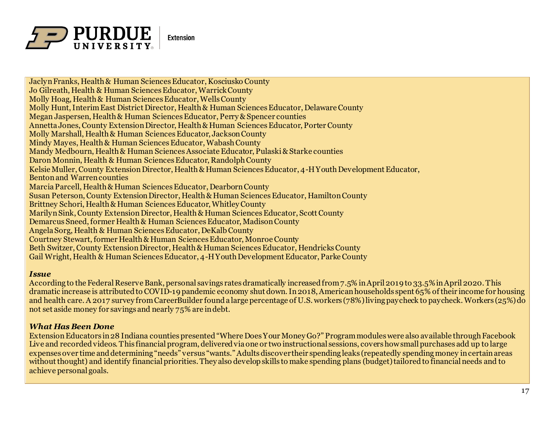

Jaclyn Franks, Health & Human Sciences Educator, Kosciusko County Jo Gilreath, Health & Human Sciences Educator, Warrick County Molly Hoag, Health & Human Sciences Educator, Wells County Molly Hunt, Interim East District Director, Health & Human Sciences Educator, Delaware County Megan Jaspersen, Health & Human Sciences Educator, Perry & Spencer counties Annetta Jones, County Extension Director, Health & Human Sciences Educator, Porter County Molly Marshall, Health & Human Sciences Educator, Jackson County Mindy Mayes, Health & Human Sciences Educator, Wabash County Mandy Medbourn, Health & Human Sciences Associate Educator, Pulaski & Starke counties Daron Monnin, Health & Human Sciences Educator, Randolph County Kelsie Muller, County Extension Director, Health & Human Sciences Educator, 4-H Youth Development Educator, Benton and Warren counties Marcia Parcell, Health & Human Sciences Educator, Dearborn County Susan Peterson, County Extension Director, Health & Human Sciences Educator, Hamilton County Brittney Schori, Health & Human Sciences Educator, Whitley County Marilyn Sink, County Extension Director, Health & Human Sciences Educator, Scott County Demarcus Sneed, former Health & Human Sciences Educator, Madison County Angela Sorg, Health & Human Sciences Educator, DeKalb County Courtney Stewart, former Health & Human Sciences Educator, Monroe County Beth Switzer, County Extension Director, Health & Human Sciences Educator, Hendricks County Gail Wright, Health & Human Sciences Educator, 4-H Youth Development Educator, Parke County

#### *Issue*

According to the Federal Reserve Bank, personal savings rates dramatically increased from 7.5% in April 2019 to 33.5% in April 2020. This dramatic increase is attributed to COVID-19 pandemic economy shut down. In 2018, American households spent 65% of their income for housing and health care. A 2017 survey from CareerBuilder found a large percentage of U.S. workers (78%) living paycheck to paycheck.Workers (25%) do not set aside money for savings and nearly 75% are in debt.

### *What Has Been Done*

Extension Educators in 28 Indiana counties presented "Where Does Your Money Go?" Program modules were also available through Facebook Live and recorded videos. This financial program, delivered via one or two instructional sessions, covers how small purchases add up to large expenses over time and determining "needs" versus "wants." Adults discover their spending leaks (repeatedly spending money incertain areas without thought) and identify financial priorities. They also develop skills to make spending plans (budget) tailored to financial needs and to achieve personal goals.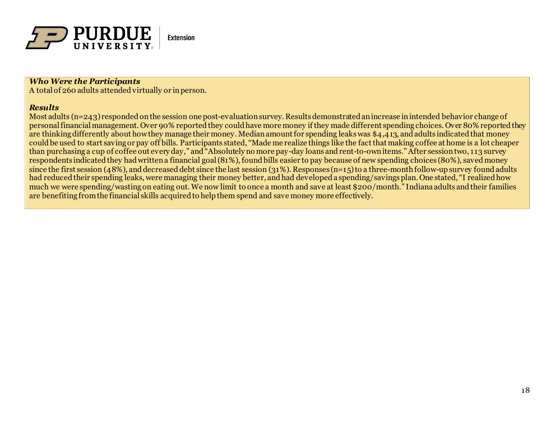

### *Who Were the Participants*

A total of 260 adults attended virtually or in person.

#### *Results*

Most adults (n=243) responded on the session one post-evaluation survey. Results demonstrated an increase in intended behavior change of personal financial management. Over 90% reported they could have more money if they made different spending choices. Over 80% reported they are thinking differently about how they manage their money. Median amount for spending leaks was \$4,413, and adults indicated that money could be used to start saving or pay off bills. Participants stated, "Made me realize things like the fact that making coffee at home is a lot cheaper than purchasing a cup of coffee out every day," and "Absolutely no more pay-day loans and rent-to-own items." After session two, 113 survey respondents indicated they had written a financial goal (81%), found bills easier to pay because of new spending choices (80%), saved money since the first session (48%), and decreased debt since the last session (31%). Responses (n=15) to a three-month follow-up survey found adults had reduced their spending leaks, were managing their money better, and had developed a spending/savings plan. One stated, "I realized how much we were spending/wasting on eating out. We now limit to once a month and save at least \$200/month." Indiana adults and their families are benefiting from the financial skills acquired to help them spend and save money more effectively.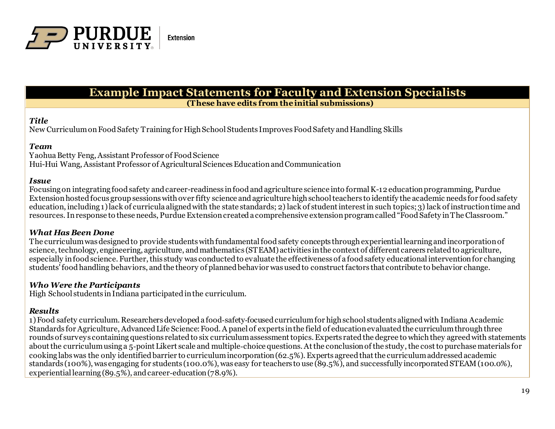

## **Example Impact Statements for Faculty and Extension Specialists (These have edits from theinitial submissions)**

#### *Title*

New Curriculum on Food Safety Training for High School Students Improves Food Safety and Handling Skills

#### *Team*

Yaohua Betty Feng, Assistant Professor of Food Science Hui-Hui Wang, Assistant Professor of Agricultural Sciences Education and Communication

#### *Issue*

Focusing on integrating food safety and career-readiness in food and agriculture science into formal K-12 education programming, Purdue Extension hosted focus group sessions with over fifty science and agriculture high school teachers to identify the academic needs for food safety education, including 1) lack of curricula aligned with the state standards; 2) lack of student interest in such topics; 3) lack of instruction time and resources. In response to these needs, Purdue Extension created a comprehensive extension program called "Food Safety in The Classroom."

### *What Has Been Done*

The curriculum was designed to provide students with fundamental food safety concepts through experiential learning and incorporation of science, technology, engineering, agriculture, and mathematics (STEAM) activities in the context of different careers relatedto agriculture, especially in food science. Further, this study was conducted to evaluate the effectiveness of a food safety educational intervention for changing students' food handling behaviors, and the theory of planned behavior was used to construct factors that contribute to behavior change.

### *Who Were the Participants*

High School students in Indiana participated in the curriculum.

## *Results*

1) Food safety curriculum. Researchers developed a food‐safety‐focused curriculum for high school students aligned with Indiana Academic Standards for Agriculture, Advanced Life Science: Food. A panel of experts in the field of education evaluated the curriculum through three rounds of surveys containing questions related to six curriculum assessment topics. Experts rated the degree to which they agreed with statements about the curriculum using a 5‐point Likert scale and multiple‐choice questions. At the conclusion of the study, the cost to purchase materials for cooking labs was the only identified barrier to curriculum incorporation (62.5%). Experts agreed that the curriculum addressed academic standards (100%), was engaging for students (100.0%), was easy for teachers to use (89.5%), and successfully incorporated STEAM (100.0%), experiential learning (89.5%), and career‐education (78.9%).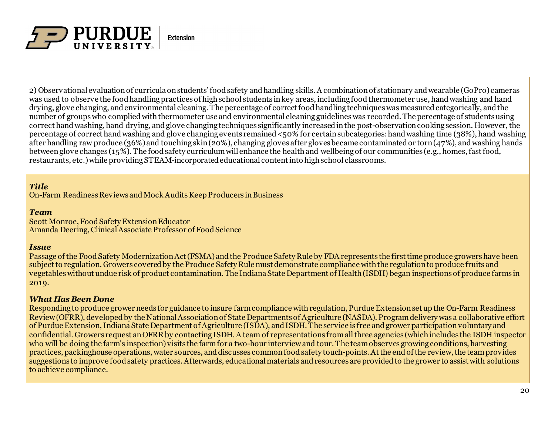

2) Observational evaluation of curricula on students' food safety and handling skills. A combination of stationary and wearable (GoPro) cameras was used to observe the food handling practices of high school students in key areas, including food thermometer use, hand washing and hand drying, glove changing, and environmental cleaning. The percentage of correct food handling techniques was measured categorically, and the number of groups who complied with thermometer use and environmental cleaning guidelineswas recorded. The percentage of students using correct hand washing, hand drying, and glove changing techniques significantly increased in the post-observation cooking session. However, the percentage of correct hand washing and glove changing events remained <50% for certain subcategories: hand washing time (38%), hand washing after handling raw produce (36%) and touching skin (20%), changing gloves after gloves became contaminated or torn (47%), andwashing hands between glove changes (15%). The food safety curriculum will enhance the health and wellbeing of our communities (e.g., homes, fast food, restaurants, etc.) while providing STEAM-incorporated educational content into high school classrooms.

## *Title*

On-Farm Readiness Reviews and Mock Audits Keep Producers in Business

## *Team*

Scott Monroe, Food Safety Extension Educator Amanda Deering, Clinical Associate Professor of Food Science

## *Issue*

Passage of the Food Safety Modernization Act (FSMA) and the Produce Safety Rule by FDA represents the first time produce growers have been subject to regulation. Growers covered by the Produce Safety Rule must demonstrate compliance with the regulation to produce fruits and vegetables without undue risk of product contamination. The Indiana State Department of Health (ISDH) began inspections of produce farms in 2019.

## *What Has Been Done*

Responding to produce grower needs for guidance to insure farm compliance with regulation, Purdue Extension set up the On-Farm Readiness Review (OFRR), developed by the National Association of State Departments of Agriculture (NASDA). Program delivery was a collaborative effort of Purdue Extension, Indiana State Department of Agriculture (ISDA), and ISDH. The service is free and grower participation voluntary and confidential. Growers request an OFRR by contacting ISDH. A team of representations from all three agencies (which includes the ISDH inspector who will be doing the farm's inspection) visits the farm for a two-hour interview and tour. The team observes growing conditions, harvesting practices, packinghouse operations, water sources, and discusses common food safety touch-points. At the end of the review, the team provides suggestions to improve food safety practices. Afterwards, educational materials and resources are provided to the grower to assist with solutions to achieve compliance.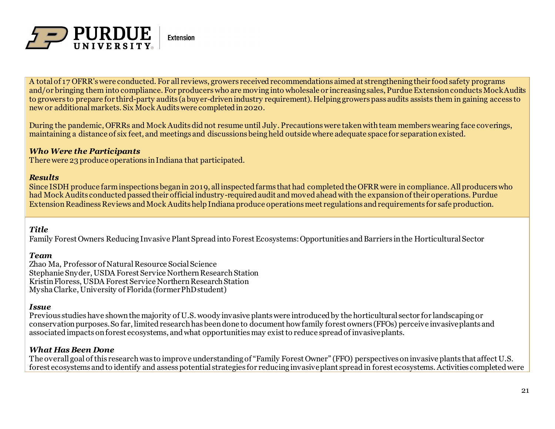

A total of 17 OFRR's were conducted. For all reviews, growers received recommendations aimed at strengthening their food safety programs and/or bringing them into compliance. For producers who are moving into wholesale or increasing sales, Purdue Extension conducts Mock Audits to growers to prepare for third-party audits (a buyer-driven industry requirement). Helping growers pass audits assists them in gaining access to new or additional markets. Six Mock Audits were completed in 2020.

During the pandemic, OFRRs and Mock Audits did not resume until July. Precautions were taken with team members wearing face coverings, maintaining a distance of six feet, and meetings and discussions being held outside where adequate space for separation existed.

### *Who Were the Participants*

There were 23 produce operations in Indiana that participated.

### *Results*

Since ISDH produce farm inspections began in 2019, all inspected farms that had completed the OFRR were in compliance. All producers who had Mock Audits conducted passed their official industry-required audit and moved ahead with the expansion of their operations. Purdue Extension Readiness Reviews and Mock Audits help Indiana produce operations meet regulations and requirements for safe production.

## *Title*

Family Forest Owners Reducing Invasive Plant Spread into Forest Ecosystems: Opportunities and Barriers in the Horticultural Sector

#### *Team*

Zhao Ma, Professor of Natural Resource Social Science Stephanie Snyder, USDA Forest Service Northern Research Station Kristin Floress, USDA Forest Service Northern Research Station Mysha Clarke, University of Florida (former PhD student)

#### *Issue*

Previous studies have shown the majority of U.S. woody invasive plants were introduced by the horticultural sector for landscaping or conservationpurposes.So far, limitedresearchhas beendone to document howfamily forest owners (FFOs) perceive invasiveplants and associatedimpacts onforest ecosystems, andwhat opportunitiesmay existto reduce spreadof invasiveplants.

### *What Has Been Done*

The overall goal of this research was to improve understandingof "Family Forest Owner" (FFO) perspectives oninvasive plants that affect U.S. forest ecosystems andto identify and assesspotential strategies for reducing invasiveplant spreadin forest ecosystems.Activities completed were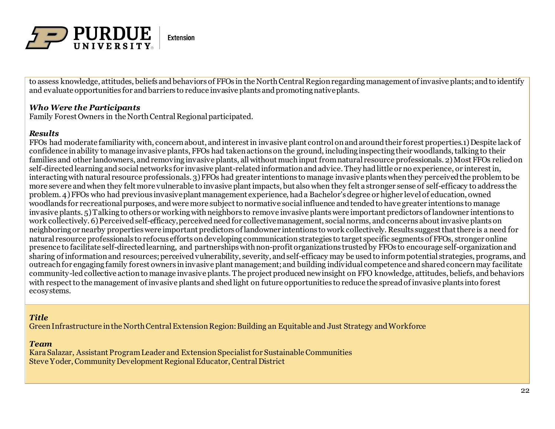

to assess knowledge, attitudes, beliefs and behaviors of FFOs in the North Central Region regarding management of invasive plants; and to identify and evaluate opportunities for and barriers to reduce invasive plants and promoting native plants.

## *Who Were the Participants*

Family Forest Owners in the North Central Regional participated.

### *Results*

FFOs had moderate familiarity with, concernabout, andinterestin invasive plant control onandaroundtheir forest properties.1) Despite lack of confidence inability to manage invasive plants, FFOs had takenactions on the ground, including inspecting their woodlands,talking to their families and other landowners, and removing invasive plants, all without much input from natural resource professionals. 2) Most FFOs relied on self-directed learning and social networks for invasive plant-related information and advice. They had little or no experience, or interest in, interactingwith natural resource professionals. 3) FFOs had greater intentions to manage invasive plantswhenthey perceivedthe problemto be more severe andwhen they felt more vulnerable to invasive plantimpacts, but also when they felt a stronger sense of self-efficacy to address the problem. 4) FFOs who had previous invasiveplant management experience, hada Bachelor'sdegree or higher level of education, owned woodlands for recreational purposes, andwere more subjectto normative socialinfluence and tendedto have greater intentions to manage invasive plants. 5) Talking to others or working with neighbors to remove invasive plants were important predictors of landowner intentions to work collectively. 6) Perceived self-efficacy, perceived need for collective management, social norms, and concerns about invasive plants on neighboringor nearby propertieswere important predictors of landowner intentions to work collectively. Results suggestthatthere is a need for natural resource professionals to refocus efforts ondeveloping communicationstrategies to target specific segments of FFOs, stronger online presence to facilitate self-directedlearning, and partnershipswithnon-profit organizations trustedby FFOs to encourage self-organizationand sharing of informationand resources;perceivedvulnerability, severity, andself-efficacy may be usedto informpotential strategies, programs, and outreach for engaging family forest owners in invasive plant management; and building individual competence and shared concern may facilitate community-ledcollective actionto manage invasive plants. The project produced new insight on FFO knowledge, attitudes, beliefs, andbehaviors with respect to the management of invasive plants and shed light on future opportunities to reduce the spread of invasive plants into forest ecosystems.

#### *Title*

Green Infrastructure in the North Central Extension Region: Building an Equitable and Just Strategy and Workforce

#### *Team*

Kara Salazar, Assistant Program Leader and Extension Specialist for Sustainable Communities Steve Yoder, Community Development Regional Educator, Central District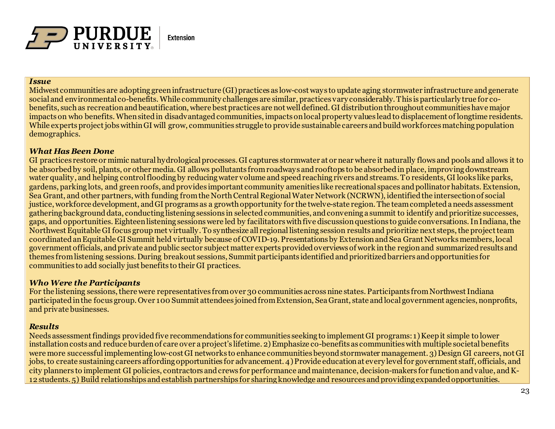

#### *Issue*

Midwest communities are adopting green infrastructure (GI) practices as low-cost ways to update aging stormwater infrastructure and generate social and environmental co-benefits. While community challenges are similar, practices vary considerably. This is particularly true for cobenefits, such as recreation and beautification, where best practices are not well defined. GI distribution throughout communities have major impacts on who benefits. When sited in disadvantaged communities, impacts on local property values lead to displacement of longtime residents. While experts project jobs within GI will grow, communities struggle to provide sustainable careers and build workforces matching population demographics.

#### *What Has Been Done*

GI practices restore or mimic natural hydrological processes. GI captures stormwater at or near where it naturally flows and pools and allows it to be absorbed by soil, plants, or other media. GI allows pollutants from roadways and rooftops to be absorbed in place, improving downstream water quality, and helping control flooding by reducing water volume and speed reaching rivers and streams. To residents, GI looks like parks, gardens, parking lots, and green roofs, and provides important community amenities like recreational spaces and pollinator habitats. Extension, Sea Grant, and other partners, with funding from the North Central Regional Water Network (NCRWN), identified the intersection of social justice, workforce development, and GI programs as a growth opportunity for the twelve-state region. The team completed a needs assessment gathering background data, conducting listening sessions in selected communities, and convening a summit to identify and prioritize successes, gaps, and opportunities. Eighteen listening sessions were led by facilitators with five discussion questions to guide conversations. In Indiana, the Northwest Equitable GI focus group met virtually. To synthesize all regional listening session results and prioritize next steps, the project team coordinated an Equitable GI Summit held virtually because of COVID-19. Presentations by Extension and Sea Grant Networks members, local government officials, and private and public sector subject matter experts provided overviews of work in the region and summarized results and themes from listening sessions. During breakout sessions, Summit participants identified and prioritized barriers and opportunities for communities to add socially just benefits to their GI practices.

### *Who Were the Participants*

For the listening sessions, there were representatives from over 30 communities across nine states. Participants from Northwest Indiana participated in the focus group. Over 100 Summit attendees joined from Extension, Sea Grant, state and local government agencies, nonprofits, and private businesses.

### *Results*

Needs assessment findings provided five recommendations for communities seeking to implement GI programs: 1) Keep it simple to lower installation costs and reduce burden of care over a project's lifetime. 2) Emphasize co-benefits as communities with multiple societal benefits were more successful implementing low-cost GI networks to enhance communities beyond stormwater management. 3) Design GI careers, not GI jobs, to create sustaining careers affording opportunities for advancement. 4) Provide education at every level for government staff, officials, and city planners to implement GI policies, contractors and crews for performance and maintenance, decision-makers for function and value, and K-12 students. 5) Build relationships and establish partnerships for sharing knowledge and resources and providing expanded opportunities.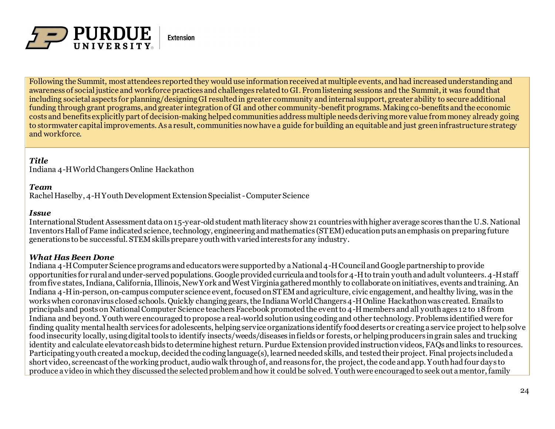

Following the Summit, most attendees reported they would use information received at multiple events, and had increased understanding and awareness of social justice and workforce practices and challenges related to GI. From listening sessions and the Summit, it was found that including societal aspects for planning/designing GI resulted in greater community and internal support, greater ability to secure additional funding through grant programs, and greater integration of GI and other community-benefit programs. Making co-benefits and the economic costs and benefits explicitly part of decision-making helped communities address multiple needs deriving more value from money already going to stormwater capital improvements. As a result, communities now have a guide for building an equitable and just green infrastructure strategy and workforce.

## *Title*

Indiana 4-H World Changers Online Hackathon

#### *Team*

Rachel Haselby, 4-H Youth Development Extension Specialist -Computer Science

#### *Issue*

International Student Assessment data on 15-year-old student math literacy show 21 countries with higher average scores than the U.S. National Inventors Hall of Fame indicated science, technology, engineering and mathematics (STEM) education puts an emphasis on preparing future generations to be successful. STEM skills prepare youth with varied interests for any industry.

## *What Has Been Done*

Indiana 4-H Computer Science programs and educators were supported by a National 4-H Council and Google partnership to provide opportunities for rural and under-served populations. Google provided curricula and tools for 4-H to train youth and adult volunteers. 4-H staff from five states, Indiana, California, Illinois, New York and West Virginia gathered monthly to collaborate on initiatives, events and training. An Indiana 4-H in-person, on-campus computer science event, focused on STEM and agriculture, civic engagement, and healthy living, was in the works when coronavirus closed schools. Quickly changing gears, the Indiana World Changers 4-H Online Hackathon was created. Emails to principals and posts on National Computer Science teachers Facebook promoted the event to 4-H members and all youth ages 12 to 18 from Indiana and beyond. Youth were encouraged to propose a real-world solution using coding and other technology. Problems identified were for finding quality mental health services for adolescents, helping service organizations identify food deserts or creating a service project to help solve food insecurity locally, using digital tools to identify insects/weeds/diseases in fields or forests, or helping producers in grain sales and trucking identity and calculate elevator cash bids to determine highest return. Purdue Extension provided instruction videos, FAQs and links to resources. Participating youth created a mockup, decided the coding language(s), learned needed skills, and tested their project. Final projects included a short video, screencast of the working product, audio walk through of, and reasons for, the project, the code and app. Youth had four days to produce a video in which they discussed the selected problem and how it could be solved. Youth were encouraged to seek out a mentor, family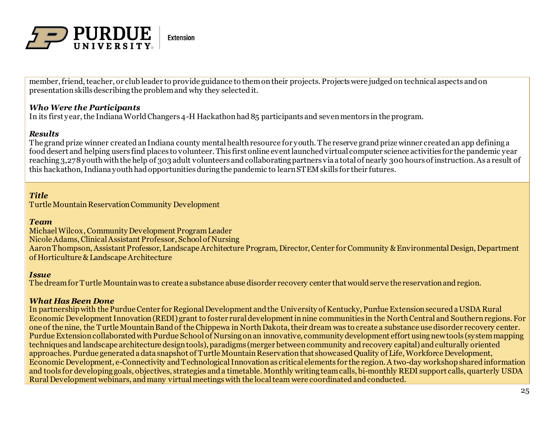

member, friend, teacher, or club leader to provide guidance to them on their projects. Projects were judged on technical aspects and on presentation skills describing the problem and why they selected it.

## *Who Were the Participants*

In its first year, the Indiana World Changers 4-H Hackathon had 85 participants and seven mentors in the program.

## *Results*

The grand prize winner created an Indiana county mental health resource for youth. The reserve grand prize winner created an app defining a food desert and helping users find places to volunteer. This first online event launched virtual computer science activities for the pandemic year reaching 3,278 youth with the help of 303 adult volunteers and collaborating partners via a total of nearly 300 hours of instruction. As a result of this hackathon, Indiana youth had opportunities during the pandemic to learn STEM skills for their futures.

## *Title*

Turtle Mountain Reservation Community Development

### *Team*

Michael Wilcox, Community Development Program Leader Nicole Adams, Clinical Assistant Professor, School of Nursing AaronThompson, Assistant Professor, Landscape Architecture Program, Director, Center for Community & Environmental Design, Department of Horticulture & Landscape Architecture

### *Issue*

The dream for Turtle Mountain was to create a substance abuse disorder recovery center that would serve the reservation and region.

### *What Has Been Done*

In partnership with the Purdue Center for Regional Development and the University of Kentucky, Purdue Extension secured a USDA Rural Economic Development Innovation (REDI) grant to foster rural development in nine communities in the North Central and Southern regions. For one of the nine, the Turtle Mountain Band of the Chippewa in North Dakota, their dream was to create a substance use disorder recovery center. Purdue Extension collaborated with Purdue School of Nursing on an innovative, community development effort using new tools (system mapping techniques and landscape architecture design tools), paradigms (merger between community and recovery capital) and culturally oriented approaches. Purdue generated a data snapshot of Turtle Mountain Reservation that showcased Quality of Life, Workforce Development, Economic Development, e-Connectivity and Technological Innovation as critical elements for the region. A two-day workshop shared information and tools for developing goals, objectives, strategies and a timetable. Monthly writing team calls, bi-monthly REDI support calls, quarterly USDA Rural Development webinars, and many virtual meetings with the local team were coordinated and conducted.